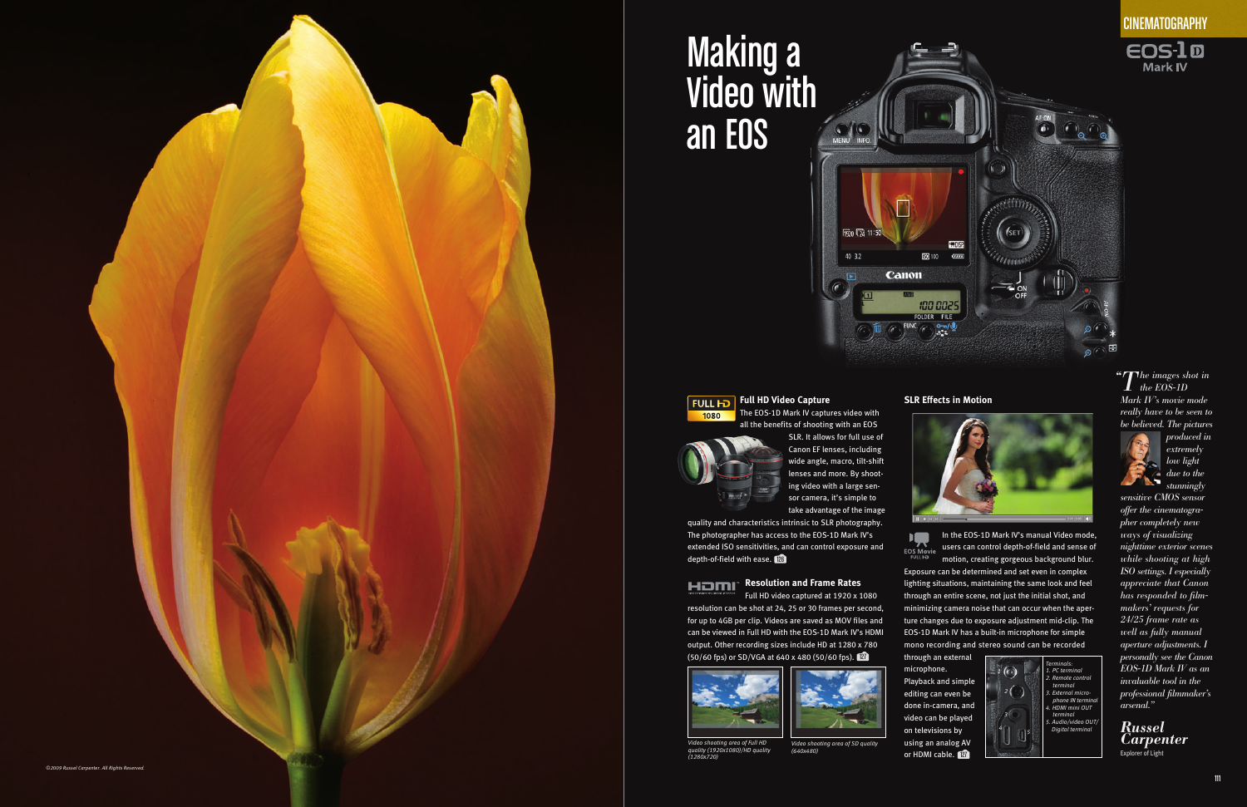| <b>PROFESSIONAL VIDEO CAMERAS  97</b>        |
|----------------------------------------------|
|                                              |
|                                              |
|                                              |
|                                              |
|                                              |
|                                              |
| <b>EOS-1D Mark IV</b>                        |
| PHOTOJOURNALISM - Vincent Laforet  106       |
| TELEVISION - Félix Alcalá 108                |
| CINEMATOGRAPHY - Russel Carpenter 110        |
| <b>EOS 5D Mark II</b>                        |
| PHOTOJOURNALISM - Richard Koci Hernandez 112 |
| $CINEMATOGRAPHY - \nhane Hurlbut. \n \n 114$ |
| <b>EOS 7D</b>                                |
| DOCUMENTARY - James Longley  116             |
| COMMERCIAL/TV - Rodney Charters  118         |
| <b>EOS 60D</b>                               |
| CINEMATOGRAPHY - Alex Buono  120             |
| Motion Capture Tecnology 122                 |

Canon professional camcorders and EOS digital SLR cameras are changing the motion capture landscape, affecting every facet of video recording and production from broadcast journalism to filmmaking. As technology has developed so has the broad, remarkable array of equipment Canon produces for the video professional. Reflecting decades of leadership and know-how in the design and manufacture of camcorders and lenses for professional video capture, Canon HD video camcorders deliver the technologies, performance and features that help ensure reliable output of outstanding image quality. Professional videographers can also benefit from the Full HD video capture capability of Canon EOS digital SLRs, taking advantage of the full array of EF lenses and the unique characteristics of large-sensor capture for dramatic results. Whatever the job, professionals can count on Canon to capture motion with efficiency, excellence and expression.

## MOTION CAPTURE